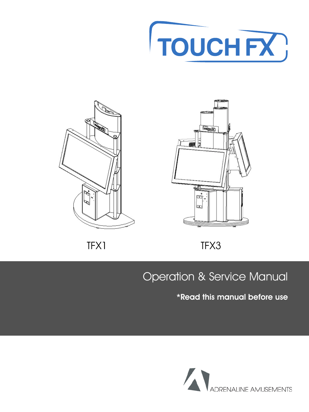







### TFX1 TFX3

### Operation & Service Manual

#### \*Read this manual before use

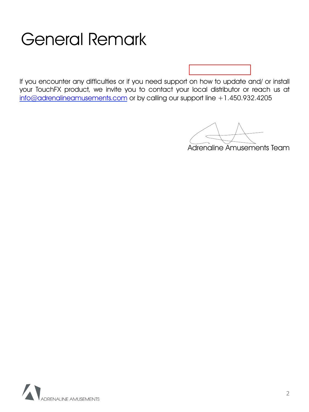## General Remark

If you encounter any difficulties or if you need support on how to update and/ or install your TouchFX product, we invite you to contact your local distributor or reach us at info@adrenalineamusements.com or by calling our support line +1.450.932.4205

Adrenaline Amusements Team

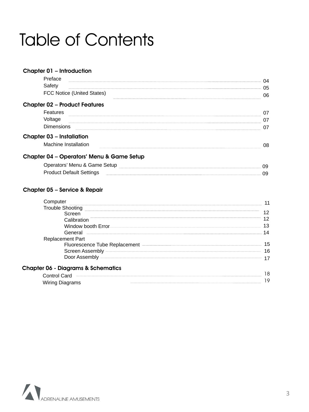## Table of Contents

| Chapter 01 - Introduction                                                                                                                                                                                                        |                |
|----------------------------------------------------------------------------------------------------------------------------------------------------------------------------------------------------------------------------------|----------------|
| Preface                                                                                                                                                                                                                          | 04             |
| Safety                                                                                                                                                                                                                           | 05             |
| FCC Notice (United States)                                                                                                                                                                                                       | 06             |
| <b>Chapter 02 - Product Features</b>                                                                                                                                                                                             |                |
| <b>Features</b>                                                                                                                                                                                                                  | 07             |
| Voltage                                                                                                                                                                                                                          | 07             |
| <b>Dimensions</b>                                                                                                                                                                                                                | 07             |
| <b>Chapter 03 - Installation</b>                                                                                                                                                                                                 |                |
| Machine Installation                                                                                                                                                                                                             | 08             |
| Chapter 04 - Operators' Menu & Game Setup                                                                                                                                                                                        |                |
| Operators' Menu & Game Setup<br>Manuscription Communication Contract Communication Communication Communication Communication Communication Communication Communication Communication Communication Communication Communication C | 09             |
| <b>Product Default Settings</b>                                                                                                                                                                                                  | 09             |
| Chapter 05 – Service & Repair                                                                                                                                                                                                    |                |
| Computer                                                                                                                                                                                                                         | $\overline{A}$ |

| Computer                                                             | 11 |
|----------------------------------------------------------------------|----|
| <b>Trouble Shooting</b>                                              |    |
| Screen                                                               | 12 |
| Calibration                                                          | 12 |
| Window booth Error                                                   | 13 |
| General <u>______</u>                                                | 14 |
| <b>Replacement Part</b>                                              |    |
| Fluorescence Tube Replacement <b>Exercise Server Accord Property</b> | 15 |
|                                                                      | 16 |
| Door Assembly -                                                      | 17 |
| <b>Chapter 06 - Diagrams &amp; Schematics</b>                        |    |
| Control Card -                                                       | 18 |
| Wiring Diagrams                                                      | 19 |

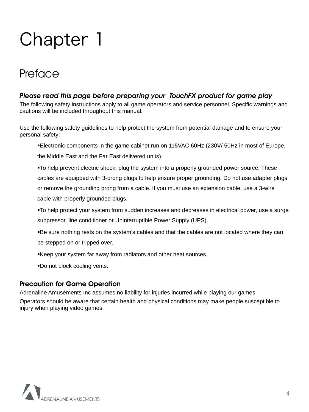### **Preface**

#### *Please read this page before preparing your TouchFX product for game play*

The following safety instructions apply to all game operators and service personnel. Specific warnings and cautions will be included throughout this manual.

Use the following safety guidelines to help protect the system from potential damage and to ensure your personal safety:

!Electronic components in the game cabinet run on 115VAC 60Hz (230V/ 50Hz in most of Europe,

the Middle East and the Far East delivered units).

!To help prevent electric shock, plug the system into a properly grounded power source. These cables are equipped with 3-prong plugs to help ensure proper grounding. Do not use adapter plugs or remove the grounding prong from a cable. If you must use an extension cable, use a 3-wire cable with properly grounded plugs.

!To help protect your system from sudden increases and decreases in electrical power, use a surge suppressor, line conditioner or Uninterruptible Power Supply (UPS).

!Be sure nothing rests on the system's cables and that the cables are not located where they can

be stepped on or tripped over.

!Keep your system far away from radiators and other heat sources.

!Do not block cooling vents.

#### Precaution for Game Operation

Adrenaline Amusements Inc assumes no liability for injuries incurred while playing our games.

Operators should be aware that certain health and physical conditions may make people susceptible to injury when playing video games.

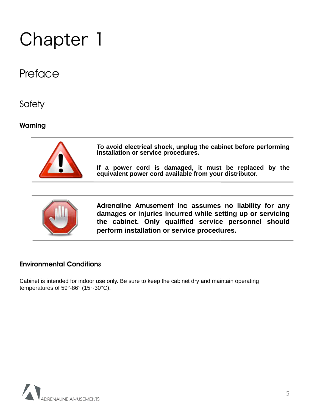### **Preface**

**Safety** 

#### Warning



**To avoid electrical shock, unplug the cabinet before performing installation or service procedures.** 

**If a power cord is damaged, it must be replaced by the equivalent power cord available from your distributor.** 



Adrenaline Amusement Inc **assumes no liability for any damages or injuries incurred while setting up or servicing the cabinet. Only qualified service personnel should perform installation or service procedures.** 

#### Environmental Conditions

Cabinet is intended for indoor use only. Be sure to keep the cabinet dry and maintain operating temperatures of 59°-86° (15°-30°C).

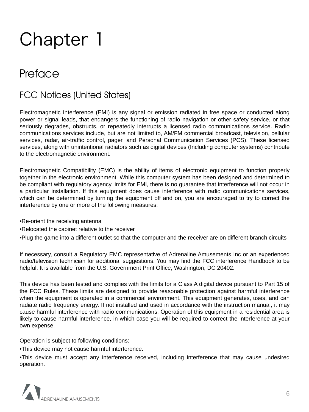### **Preface**

#### FCC Notices (United States)

Electromagnetic Interference (EMI) is any signal or emission radiated in free space or conducted along power or signal leads, that endangers the functioning of radio navigation or other safety service, or that seriously degrades, obstructs, or repeatedly interrupts a licensed radio communications service. Radio communications services include, but are not limited to, AM/FM commercial broadcast, television, cellular services, radar, air-traffic control, pager, and Personal Communication Services (PCS). These licensed services, along with unintentional radiators such as digital devices (Including computer systems) contribute to the electromagnetic environment.

Electromagnetic Compatibility (EMC) is the ability of items of electronic equipment to function properly together in the electronic environment. While this computer system has been designed and determined to be compliant with regulatory agency limits for EMI, there is no guarantee that interference will not occur in a particular installation. If this equipment does cause interference with radio communications services, which can be determined by turning the equipment off and on, you are encouraged to try to correct the interference by one or more of the following measures:

- •Re-orient the receiving antenna
- •Relocated the cabinet relative to the receiver

•Plug the game into a different outlet so that the computer and the receiver are on different branch circuits

If necessary, consult a Regulatory EMC representative of Adrenaline Amusements Inc or an experienced radio/television technician for additional suggestions. You may find the FCC interference Handbook to be helpful. It is available from the U.S. Government Print Office, Washington, DC 20402.

This device has been tested and complies with the limits for a Class A digital device pursuant to Part 15 of the FCC Rules. These limits are designed to provide reasonable protection against harmful interference when the equipment is operated in a commercial environment. This equipment generates, uses, and can radiate radio frequency energy. If not installed and used in accordance with the instruction manual, it may cause harmful interference with radio communications. Operation of this equipment in a residential area is likely to cause harmful interference, in which case you will be required to correct the interference at your own expense.

Operation is subject to following conditions:

•This device may not cause harmful interference.

•This device must accept any interference received, including interference that may cause undesired operation.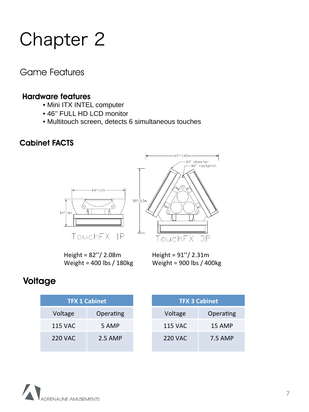#### Game Features

#### Hardware features

- Mini ITX INTEL computer
- 46'' FULL HD LCD monitor
- Multitouch screen, detects 6 simultaneous touches

#### Cabinet FACTS





Height =  $82''/2.08m$ Weight = 400 lbs / 180kg

Height =  $91''/ 2.31$ m Weight = 900 lbs / 400kg

#### **Voltage**

| <b>TFX 1 Cabinet</b> |           |  |
|----------------------|-----------|--|
| Voltage              | Operating |  |
| 115 VAC              | 5 AMP     |  |
| 220 VAC              | 2.5 AMP   |  |

| <b>TFX 3 Cabinet</b> |               |  |
|----------------------|---------------|--|
| Voltage              | Operating     |  |
| 115 VAC              | <b>15 AMP</b> |  |
| 220 VAC              | 7.5 AMP       |  |

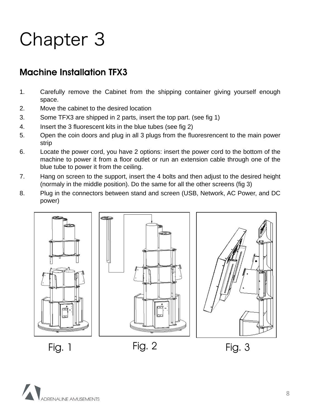### Machine Installation TFX3

- 1. Carefully remove the Cabinet from the shipping container giving yourself enough space.
- 2. Move the cabinet to the desired location
- 3. Some TFX3 are shipped in 2 parts, insert the top part. (see fig 1)
- 4. Insert the 3 fluorescent kits in the blue tubes (see fig 2)
- 5. Open the coin doors and plug in all 3 plugs from the fluoresrencent to the main power strip
- 6. Locate the power cord, you have 2 options: insert the power cord to the bottom of the machine to power it from a floor outlet or run an extension cable through one of the blue tube to power it from the ceiling.
- 7. Hang on screen to the support, insert the 4 bolts and then adjust to the desired height (normaly in the middle position). Do the same for all the other screens (fig 3)
- 8. Plug in the connectors between stand and screen (USB, Network, AC Power, and DC power)







Fig. 1 Fig. 2 Fig. 3



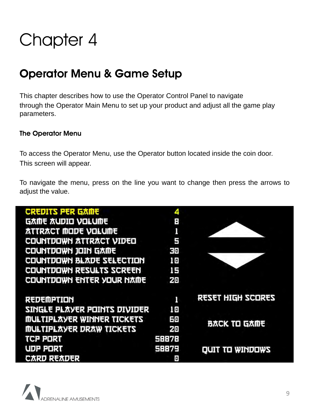### Operator Menu & Game Setup

This chapter describes how to use the Operator Control Panel to navigate through the Operator Main Menu to set up your product and adjust all the game play parameters.

#### The Operator Menu

To access the Operator Menu, use the Operator button located inside the coin door. This screen will appear.

To navigate the menu, press on the line you want to change then press the arrows to adjust the value.

| <b>CREDITS PER GAME</b>           | 4     |                           |
|-----------------------------------|-------|---------------------------|
| <b>G太巾も 太니ワエロ ソロトロ巾も</b>          | E     |                           |
| <b><i>ATTRACT MODE VOLUME</i></b> |       |                           |
| <b>COUNTDOWN ATTRACT VIDEO</b>    | 5     |                           |
| COUNTDOWN JOIN GAME               | clo   |                           |
| COUNTDOWN BLADE SELECTION         | 10    |                           |
| COUNTDOWN RESULTS SCREEN          | 15    |                           |
| COUNTDOWN ENTER YOUR NAME         | 20    |                           |
| REDEMPTION                        |       | <b>SERUSS HIGH SCORES</b> |
| SINGLE PLAYER POINTS DIVIDER      | 10    |                           |
| <b>MULTIPLAYER WINNER TICKETS</b> | 보이    |                           |
| <b>MULTIPLAYER DRAW TICKETS</b>   | 20    | <b>B太CK Tロ G太巾も</b>       |
| <b>TCP PORT</b>                   | 58878 |                           |
| UDP PORT                          | 58879 | QUIT TO WINDOWS           |
| <b>CARD READER</b>                | o     |                           |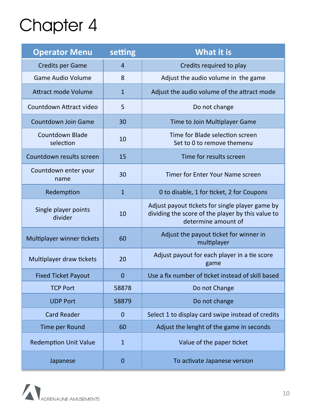| <b>Operator Menu</b>                | setting        | What it is                                                                                                                  |
|-------------------------------------|----------------|-----------------------------------------------------------------------------------------------------------------------------|
| <b>Credits per Game</b>             | $\overline{4}$ | Credits required to play                                                                                                    |
| Game Audio Volume                   | 8              | Adjust the audio volume in the game                                                                                         |
| <b>Attract mode Volume</b>          | 1              | Adjust the audio volume of the attract mode                                                                                 |
| Countdown Attract video             | 5              | Do not change                                                                                                               |
| <b>Countdown Join Game</b>          | 30             | Time to Join Multiplayer Game                                                                                               |
| <b>Countdown Blade</b><br>selection | 10             | Time for Blade selection screen<br>Set to 0 to remove themenu                                                               |
| Countdown results screen            | 15             | Time for results screen                                                                                                     |
| Countdown enter your<br>name        | 30             | Timer for Enter Your Name screen                                                                                            |
| Redemption                          | $\mathbf{1}$   | 0 to disable, 1 for ticket, 2 for Coupons                                                                                   |
| Single player points<br>divider     | 10             | Adjust payout tickets for single player game by<br>dividing the score of the player by this value to<br>determine amount of |
| Multiplayer winner tickets          | 60             | Adjust the payout ticket for winner in<br>multiplayer                                                                       |
| Multiplayer draw tickets            | 20             | Adjust payout for each player in a tie score<br>game                                                                        |
| <b>Fixed Ticket Payout</b>          | $\mathbf 0$    | Use a fix number of ticket instead of skill based                                                                           |
| <b>TCP Port</b>                     | 58878          | Do not Change                                                                                                               |
| <b>UDP Port</b>                     | 58879          | Do not change                                                                                                               |
| <b>Card Reader</b>                  | $\mathbf{0}$   | Select 1 to display card swipe instead of credits                                                                           |
| Time per Round                      | 60             | Adjust the lenght of the game in seconds                                                                                    |
| <b>Redemption Unit Value</b>        | $\mathbf{1}$   | Value of the paper ticket                                                                                                   |
| Japanese                            | $\pmb{0}$      | To activate Japanese version                                                                                                |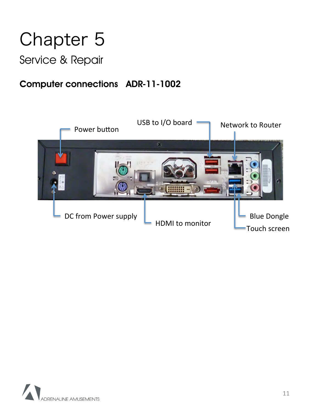### Service & Repair

### Computer connections ADR-11-1002



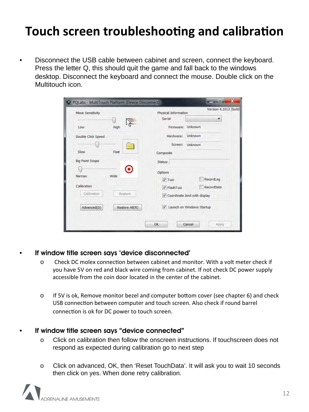## **Touch screen troubleshooting and calibration**

• Disconnect the USB cable between cabinet and screen, connect the keyboard. Press the letter Q, this should quit the game and fall back to the windows desktop. Disconnect the keyboard and connect the mouse. Double click on the Multitouch icon.

| Move Sensitivity              | Version 4.1012 (build<br>Physical Information |
|-------------------------------|-----------------------------------------------|
|                               | Serial                                        |
| High<br>Low                   | Unknown<br>Firmware:                          |
| Double Click Speed            | Unknown<br>Hardware:                          |
|                               | Screen:<br>Unknown                            |
| Slow<br>Fast                  | Composite                                     |
| <b>Big Point Scope</b>        | Status:                                       |
|                               | Options                                       |
| Wide<br>Narrow                | RecordLog<br>$\sqrt{}$ Tuio                   |
| Calibration                   | RecordData<br>√ FlashTuio                     |
| Calibration<br>Restore        | √ Coordinate bind with display                |
| Advanced(D)<br>Restore All(R) | V Launch on Windows Startup                   |
|                               |                                               |

#### • If window title screen says 'device disconnected'

- $\circ$  Check DC molex connection between cabinet and monitor. With a volt meter check if you have 5V on red and black wire coming from cabinet. If not check DC power supply accessible from the coin door located in the center of the cabinet.
- o If 5V is ok, Remove monitor bezel and computer bottom cover (see chapter 6) and check USB connection between computer and touch screen. Also check if round barrel connection is ok for DC power to touch screen.

#### • If window title screen says "device connected"

- o Click on calibration then follow the onscreen instructions. If touchscreen does not respond as expected during calibration go to next step
- o Click on advanced, OK, then 'Reset TouchData'. It will ask you to wait 10 seconds then click on yes. When done retry calibration.

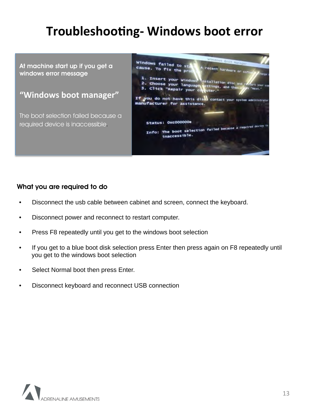## **Troubleshooting- Windows boot error**

At machine start up if you get a windows error message

#### "Windows boot manager"

The boot selection failed because a required device is inaccessible.



#### What you are required to do

- Disconnect the usb cable between cabinet and screen, connect the keyboard.
- Disconnect power and reconnect to restart computer.
- Press F8 repeatedly until you get to the windows boot selection
- If you get to a blue boot disk selection press Enter then press again on F8 repeatedly until you get to the windows boot selection
- Select Normal boot then press Enter.
- Disconnect keyboard and reconnect USB connection

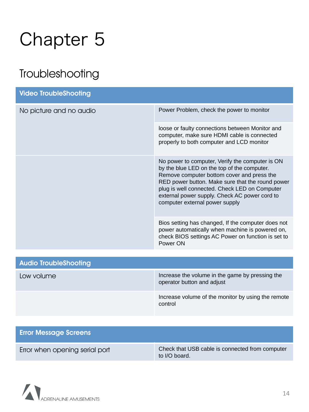## Troubleshooting

| <b>Video TroubleShooting</b> |                                                                                                                                                                                                                                                                                                                                      |  |
|------------------------------|--------------------------------------------------------------------------------------------------------------------------------------------------------------------------------------------------------------------------------------------------------------------------------------------------------------------------------------|--|
| No picture and no audio      | Power Problem, check the power to monitor                                                                                                                                                                                                                                                                                            |  |
|                              | loose or faulty connections between Monitor and<br>computer, make sure HDMI cable is connected<br>properly to both computer and LCD monitor                                                                                                                                                                                          |  |
|                              | No power to computer, Verify the computer is ON<br>by the blue LED on the top of the computer.<br>Remove computer bottom cover and press the<br>RED power button. Make sure that the round power<br>plug is well connected. Check LED on Computer<br>external power supply. Check AC power cord to<br>computer external power supply |  |
|                              | Bios setting has changed, If the computer does not<br>power automatically when machine is powered on,<br>check BIOS settings AC Power on function is set to<br>Power ON                                                                                                                                                              |  |
| <b>Audio TroubleShooting</b> |                                                                                                                                                                                                                                                                                                                                      |  |
| Low volume                   | Increase the volume in the game by pressing the<br>operator button and adjust                                                                                                                                                                                                                                                        |  |
|                              | Increase volume of the monitor by using the remote<br>control                                                                                                                                                                                                                                                                        |  |

| <b>Error Message Screens</b>   |                                                                  |
|--------------------------------|------------------------------------------------------------------|
| Error when opening serial port | Check that USB cable is connected from computer<br>to I/O board. |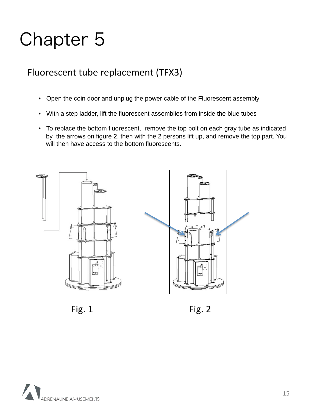### Fluorescent tube replacement (TFX3)

- Open the coin door and unplug the power cable of the Fluorescent assembly
- With a step ladder, lift the fluorescent assemblies from inside the blue tubes
- To replace the bottom fluorescent, remove the top bolt on each gray tube as indicated by the arrows on figure 2. then with the 2 persons lift up, and remove the top part. You will then have access to the bottom fluorescents.





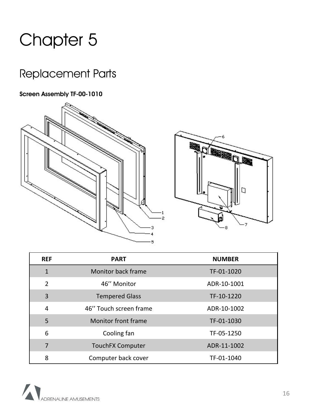## Replacement Parts

#### Screen Assembly TF-00-1010



| <b>REF</b>     | <b>PART</b>             | <b>NUMBER</b> |
|----------------|-------------------------|---------------|
| $\mathbf{1}$   | Monitor back frame      | TF-01-1020    |
| $\overline{2}$ | 46" Monitor             | ADR-10-1001   |
| $\overline{3}$ | <b>Tempered Glass</b>   | TF-10-1220    |
| $\overline{4}$ | 46" Touch screen frame  | ADR-10-1002   |
| 5              | Monitor front frame     | TF-01-1030    |
| 6              | Cooling fan             | TF-05-1250    |
| 7              | <b>TouchFX Computer</b> | ADR-11-1002   |
| 8              | Computer back cover     | TF-01-1040    |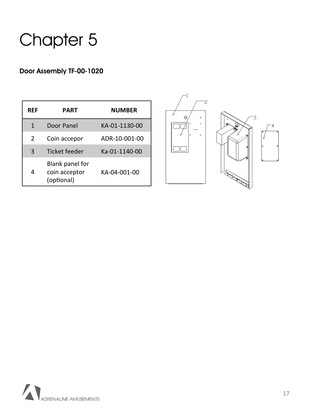#### Door Assembly TF-00-1020

| RFF | PART                                           | NUMBER        |
|-----|------------------------------------------------|---------------|
| 1   | Door Panel                                     | KA-01-1130-00 |
| 2   | Coin accepor                                   | ADR-10-001-00 |
| 3   | <b>Ticket feeder</b>                           | Ka-01-1140-00 |
| 4   | Blank panel for<br>coin acceptor<br>(optional) | KA-04-001-00  |



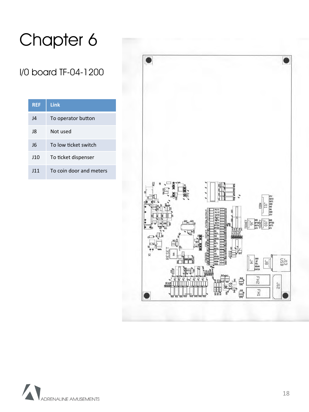### I/0 board TF-04-1200

| <b>REF</b>      | Link                    |
|-----------------|-------------------------|
| $\overline{14}$ | To operator button      |
| 18              | Not used                |
| 16              | To low ticket switch    |
| J10             | To ticket dispenser     |
| 111             | To coin door and meters |



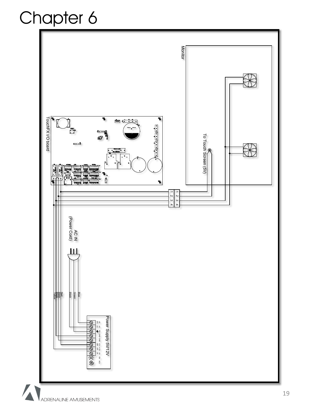